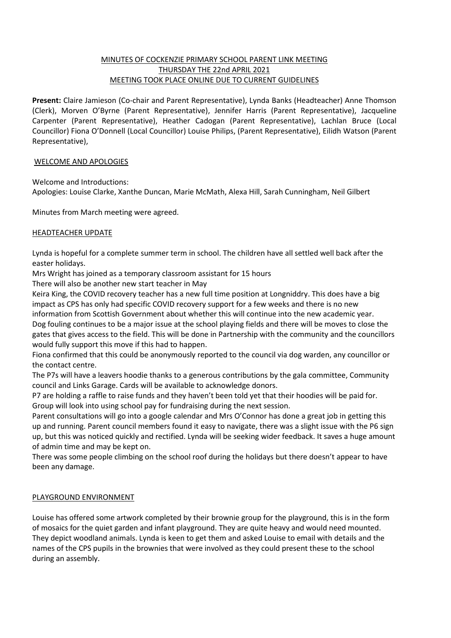## MINUTES OF COCKENZIE PRIMARY SCHOOL PARENT LINK MEETING THURSDAY THE 22nd APRIL 2021 MEETING TOOK PLACE ONLINE DUE TO CURRENT GUIDELINES

**Present:** Claire Jamieson (Co-chair and Parent Representative), Lynda Banks (Headteacher) Anne Thomson (Clerk), Morven O'Byrne (Parent Representative), Jennifer Harris (Parent Representative), Jacqueline Carpenter (Parent Representative), Heather Cadogan (Parent Representative), Lachlan Bruce (Local Councillor) Fiona O'Donnell (Local Councillor) Louise Philips, (Parent Representative), Eilidh Watson (Parent Representative),

## WELCOME AND APOLOGIES

Welcome and Introductions: Apologies: Louise Clarke, Xanthe Duncan, Marie McMath, Alexa Hill, Sarah Cunningham, Neil Gilbert

Minutes from March meeting were agreed.

## HEADTEACHER UPDATE

Lynda is hopeful for a complete summer term in school. The children have all settled well back after the easter holidays.

Mrs Wright has joined as a temporary classroom assistant for 15 hours

There will also be another new start teacher in May

Keira King, the COVID recovery teacher has a new full time position at Longniddry. This does have a big impact as CPS has only had specific COVID recovery support for a few weeks and there is no new

information from Scottish Government about whether this will continue into the new academic year. Dog fouling continues to be a major issue at the school playing fields and there will be moves to close the gates that gives access to the field. This will be done in Partnership with the community and the councillors would fully support this move if this had to happen.

Fiona confirmed that this could be anonymously reported to the council via dog warden, any councillor or the contact centre.

The P7s will have a leavers hoodie thanks to a generous contributions by the gala committee, Community council and Links Garage. Cards will be available to acknowledge donors.

P7 are holding a raffle to raise funds and they haven't been told yet that their hoodies will be paid for. Group will look into using school pay for fundraising during the next session.

Parent consultations will go into a google calendar and Mrs O'Connor has done a great job in getting this up and running. Parent council members found it easy to navigate, there was a slight issue with the P6 sign up, but this was noticed quickly and rectified. Lynda will be seeking wider feedback. It saves a huge amount of admin time and may be kept on.

There was some people climbing on the school roof during the holidays but there doesn't appear to have been any damage.

## PLAYGROUND ENVIRONMENT

Louise has offered some artwork completed by their brownie group for the playground, this is in the form of mosaics for the quiet garden and infant playground. They are quite heavy and would need mounted. They depict woodland animals. Lynda is keen to get them and asked Louise to email with details and the names of the CPS pupils in the brownies that were involved as they could present these to the school during an assembly.